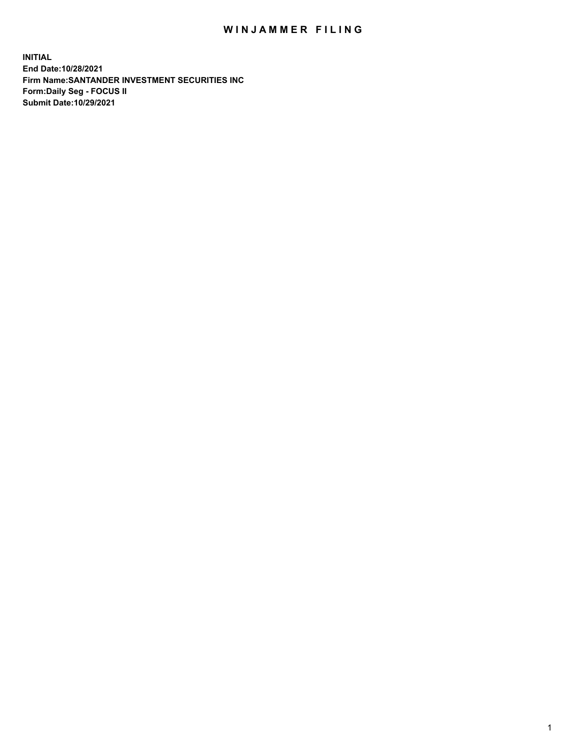## WIN JAMMER FILING

**INITIAL End Date:10/28/2021 Firm Name:SANTANDER INVESTMENT SECURITIES INC Form:Daily Seg - FOCUS II Submit Date:10/29/2021**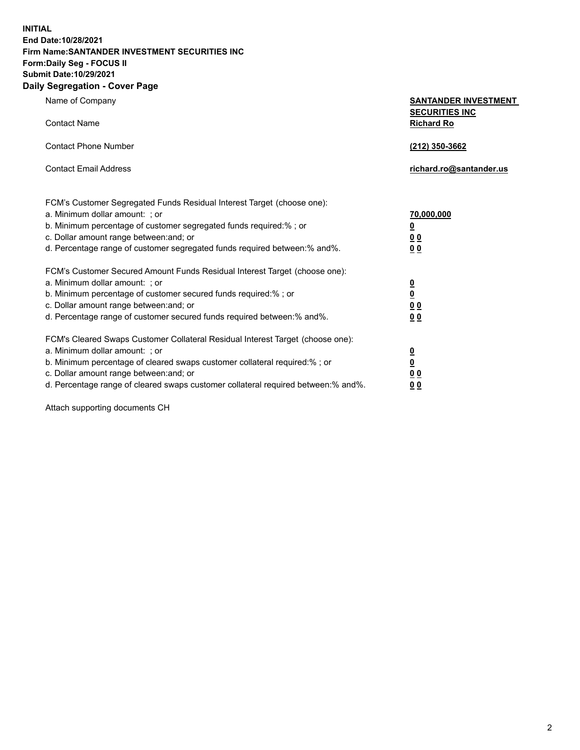**INITIAL End Date:10/28/2021 Firm Name:SANTANDER INVESTMENT SECURITIES INC Form:Daily Seg - FOCUS II Submit Date:10/29/2021 Daily Segregation - Cover Page**

| $-0.9$                                                                            |                                                      |
|-----------------------------------------------------------------------------------|------------------------------------------------------|
| Name of Company                                                                   | <b>SANTANDER INVESTMENT</b><br><b>SECURITIES INC</b> |
| <b>Contact Name</b>                                                               | <b>Richard Ro</b>                                    |
| <b>Contact Phone Number</b>                                                       | (212) 350-3662                                       |
| <b>Contact Email Address</b>                                                      | richard.ro@santander.us                              |
| FCM's Customer Segregated Funds Residual Interest Target (choose one):            |                                                      |
| a. Minimum dollar amount: ; or                                                    | <u>70,000,000</u>                                    |
| b. Minimum percentage of customer segregated funds required:% ; or                | <u>0</u>                                             |
| c. Dollar amount range between: and; or                                           | 00                                                   |
| d. Percentage range of customer segregated funds required between:% and%.         | 0 <sub>0</sub>                                       |
| FCM's Customer Secured Amount Funds Residual Interest Target (choose one):        |                                                      |
| a. Minimum dollar amount: ; or                                                    | $\frac{0}{0}$                                        |
| b. Minimum percentage of customer secured funds required:%; or                    |                                                      |
| c. Dollar amount range between: and; or                                           | 0 <sub>0</sub>                                       |
| d. Percentage range of customer secured funds required between:% and%.            | 0 <sub>0</sub>                                       |
| FCM's Cleared Swaps Customer Collateral Residual Interest Target (choose one):    |                                                      |
| a. Minimum dollar amount: ; or                                                    | $\frac{0}{0}$                                        |
| b. Minimum percentage of cleared swaps customer collateral required:% ; or        |                                                      |
| c. Dollar amount range between: and; or                                           | 00                                                   |
| d. Percentage range of cleared swaps customer collateral required between:% and%. | 00                                                   |

Attach supporting documents CH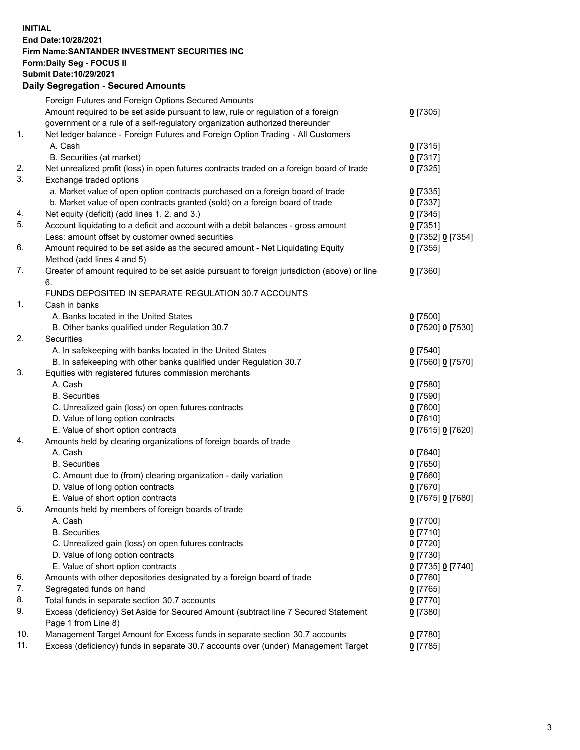## **INITIAL End Date:10/28/2021 Firm Name:SANTANDER INVESTMENT SECURITIES INC Form:Daily Seg - FOCUS II Submit Date:10/29/2021 Daily Segregation - Secured Amounts**

|     | Foreign Futures and Foreign Options Secured Amounts                                         |                   |
|-----|---------------------------------------------------------------------------------------------|-------------------|
|     | Amount required to be set aside pursuant to law, rule or regulation of a foreign            | $0$ [7305]        |
|     | government or a rule of a self-regulatory organization authorized thereunder                |                   |
| 1.  | Net ledger balance - Foreign Futures and Foreign Option Trading - All Customers             |                   |
|     | A. Cash                                                                                     | 0[7315]           |
|     | B. Securities (at market)                                                                   | $0$ [7317]        |
| 2.  | Net unrealized profit (loss) in open futures contracts traded on a foreign board of trade   | $0$ [7325]        |
| 3.  | Exchange traded options                                                                     |                   |
|     | a. Market value of open option contracts purchased on a foreign board of trade              | $0$ [7335]        |
|     | b. Market value of open contracts granted (sold) on a foreign board of trade                | $0$ [7337]        |
| 4.  | Net equity (deficit) (add lines 1. 2. and 3.)                                               | $0$ [7345]        |
| 5.  | Account liquidating to a deficit and account with a debit balances - gross amount           | $0$ [7351]        |
|     | Less: amount offset by customer owned securities                                            | 0 [7352] 0 [7354] |
| 6.  | Amount required to be set aside as the secured amount - Net Liquidating Equity              | $0$ [7355]        |
|     | Method (add lines 4 and 5)                                                                  |                   |
| 7.  | Greater of amount required to be set aside pursuant to foreign jurisdiction (above) or line | $0$ [7360]        |
|     | 6.                                                                                          |                   |
|     | FUNDS DEPOSITED IN SEPARATE REGULATION 30.7 ACCOUNTS                                        |                   |
| 1.  | Cash in banks                                                                               |                   |
|     | A. Banks located in the United States                                                       | $0$ [7500]        |
|     | B. Other banks qualified under Regulation 30.7                                              | 0 [7520] 0 [7530] |
| 2.  | <b>Securities</b>                                                                           |                   |
|     | A. In safekeeping with banks located in the United States                                   | $0$ [7540]        |
|     | B. In safekeeping with other banks qualified under Regulation 30.7                          | 0 [7560] 0 [7570] |
| 3.  | Equities with registered futures commission merchants                                       |                   |
|     | A. Cash                                                                                     | $0$ [7580]        |
|     | <b>B.</b> Securities                                                                        | $0$ [7590]        |
|     | C. Unrealized gain (loss) on open futures contracts                                         | $0$ [7600]        |
|     | D. Value of long option contracts                                                           | $0$ [7610]        |
|     | E. Value of short option contracts                                                          | 0 [7615] 0 [7620] |
| 4.  | Amounts held by clearing organizations of foreign boards of trade                           |                   |
|     | A. Cash                                                                                     | $0$ [7640]        |
|     | <b>B.</b> Securities                                                                        | $0$ [7650]        |
|     | C. Amount due to (from) clearing organization - daily variation                             | $0$ [7660]        |
|     | D. Value of long option contracts                                                           | $0$ [7670]        |
|     | E. Value of short option contracts                                                          | 0 [7675] 0 [7680] |
| 5.  | Amounts held by members of foreign boards of trade                                          |                   |
|     | A. Cash                                                                                     | $0$ [7700]        |
|     | <b>B.</b> Securities                                                                        | $0$ [7710]        |
|     | C. Unrealized gain (loss) on open futures contracts                                         | $0$ [7720]        |
|     | D. Value of long option contracts                                                           | $0$ [7730]        |
|     | E. Value of short option contracts                                                          | 0 [7735] 0 [7740] |
| 6.  | Amounts with other depositories designated by a foreign board of trade                      | $0$ [7760]        |
| 7.  | Segregated funds on hand                                                                    | $0$ [7765]        |
| 8.  | Total funds in separate section 30.7 accounts                                               | $0$ [7770]        |
| 9.  | Excess (deficiency) Set Aside for Secured Amount (subtract line 7 Secured Statement         | $0$ [7380]        |
|     | Page 1 from Line 8)                                                                         |                   |
| 10. | Management Target Amount for Excess funds in separate section 30.7 accounts                 | $0$ [7780]        |
| 11. | Excess (deficiency) funds in separate 30.7 accounts over (under) Management Target          | $0$ [7785]        |
|     |                                                                                             |                   |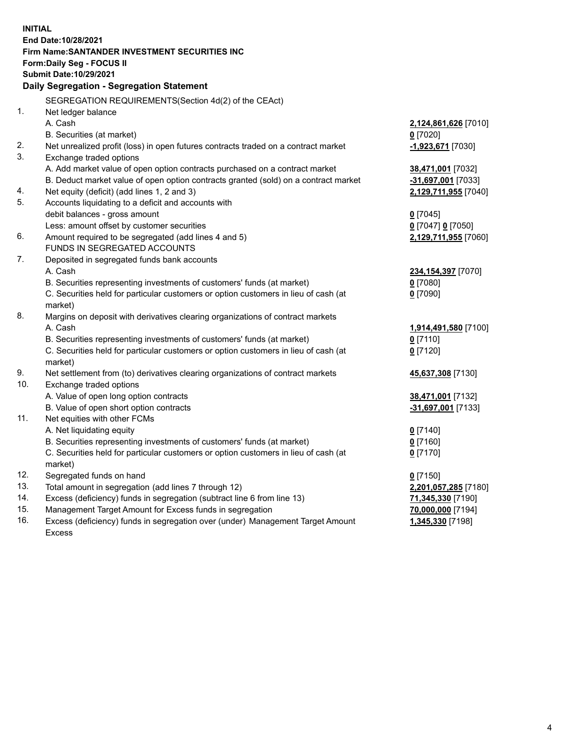| <b>INITIAL</b> |                                                                                                                                     |                                       |
|----------------|-------------------------------------------------------------------------------------------------------------------------------------|---------------------------------------|
|                | End Date:10/28/2021                                                                                                                 |                                       |
|                | Firm Name: SANTANDER INVESTMENT SECURITIES INC                                                                                      |                                       |
|                | Form: Daily Seg - FOCUS II                                                                                                          |                                       |
|                | Submit Date: 10/29/2021                                                                                                             |                                       |
|                | Daily Segregation - Segregation Statement                                                                                           |                                       |
|                | SEGREGATION REQUIREMENTS(Section 4d(2) of the CEAct)                                                                                |                                       |
| 1.             | Net ledger balance                                                                                                                  |                                       |
|                | A. Cash                                                                                                                             | 2,124,861,626 [7010]                  |
|                | B. Securities (at market)                                                                                                           | $0$ [7020]                            |
| 2.             | Net unrealized profit (loss) in open futures contracts traded on a contract market                                                  | -1,923,671 [7030]                     |
| 3.             | Exchange traded options                                                                                                             |                                       |
|                | A. Add market value of open option contracts purchased on a contract market                                                         | 38,471,001 [7032]                     |
|                | B. Deduct market value of open option contracts granted (sold) on a contract market                                                 | -31,697,001 [7033]                    |
| 4.             | Net equity (deficit) (add lines 1, 2 and 3)                                                                                         | 2,129,711,955 [7040]                  |
| 5.             | Accounts liquidating to a deficit and accounts with                                                                                 |                                       |
|                | debit balances - gross amount                                                                                                       | $0$ [7045]                            |
|                | Less: amount offset by customer securities                                                                                          | 0 [7047] 0 [7050]                     |
| 6.             | Amount required to be segregated (add lines 4 and 5)                                                                                | 2,129,711,955 [7060]                  |
|                | FUNDS IN SEGREGATED ACCOUNTS                                                                                                        |                                       |
| 7.             | Deposited in segregated funds bank accounts                                                                                         |                                       |
|                | A. Cash                                                                                                                             | 234,154,397 [7070]                    |
|                | B. Securities representing investments of customers' funds (at market)                                                              | $0$ [7080]                            |
|                | C. Securities held for particular customers or option customers in lieu of cash (at                                                 | $0$ [7090]                            |
|                | market)                                                                                                                             |                                       |
| 8.             | Margins on deposit with derivatives clearing organizations of contract markets                                                      |                                       |
|                | A. Cash                                                                                                                             | 1,914,491,580 [7100]                  |
|                | B. Securities representing investments of customers' funds (at market)                                                              | $0$ [7110]                            |
|                | C. Securities held for particular customers or option customers in lieu of cash (at                                                 | $0$ [7120]                            |
|                | market)                                                                                                                             |                                       |
| 9.             | Net settlement from (to) derivatives clearing organizations of contract markets                                                     | 45,637,308 [7130]                     |
| 10.            | Exchange traded options                                                                                                             |                                       |
|                | A. Value of open long option contracts                                                                                              | 38,471,001 [7132]                     |
|                | B. Value of open short option contracts                                                                                             | -31,697,001 [7133]                    |
| 11.            | Net equities with other FCMs                                                                                                        |                                       |
|                | A. Net liquidating equity                                                                                                           | $0$ [7140]                            |
|                | B. Securities representing investments of customers' funds (at market)                                                              | $0$ [7160]                            |
|                | C. Securities held for particular customers or option customers in lieu of cash (at                                                 | $0$ [7170]                            |
|                | market)                                                                                                                             |                                       |
| 12.<br>13.     | Segregated funds on hand                                                                                                            | $0$ [7150]                            |
| 14.            | Total amount in segregation (add lines 7 through 12)                                                                                | 2,201,057,285 [7180]                  |
| 15.            | Excess (deficiency) funds in segregation (subtract line 6 from line 13)<br>Management Target Amount for Excess funds in segregation | 71,345,330 [7190]                     |
| 16.            | Excess (deficiency) funds in segregation over (under) Management Target Amount                                                      | 70,000,000 [7194]<br>1,345,330 [7198] |
|                | <b>Excess</b>                                                                                                                       |                                       |
|                |                                                                                                                                     |                                       |